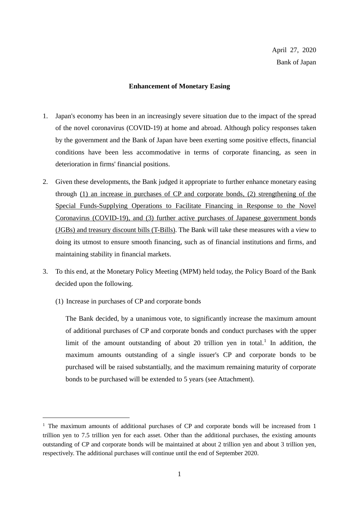## **Enhancement of Monetary Easing**

- 1. Japan's economy has been in an increasingly severe situation due to the impact of the spread of the novel coronavirus (COVID-19) at home and abroad. Although policy responses taken by the government and the Bank of Japan have been exerting some positive effects, financial conditions have been less accommodative in terms of corporate financing, as seen in deterioration in firms' financial positions.
- 2. Given these developments, the Bank judged it appropriate to further enhance monetary easing through (1) an increase in purchases of CP and corporate bonds, (2) strengthening of the Special Funds-Supplying Operations to Facilitate Financing in Response to the Novel Coronavirus (COVID-19), and (3) further active purchases of Japanese government bonds (JGBs) and treasury discount bills (T-Bills). The Bank will take these measures with a view to doing its utmost to ensure smooth financing, such as of financial institutions and firms, and maintaining stability in financial markets.
- 3. To this end, at the Monetary Policy Meeting (MPM) held today, the Policy Board of the Bank decided upon the following.
	- (1) Increase in purchases of CP and corporate bonds

The Bank decided, by a unanimous vote, to significantly increase the maximum amount of additional purchases of CP and corporate bonds and conduct purchases with the upper limit of the amount outstanding of about 20 trillion yen in total.<sup>1</sup> In addition, the maximum amounts outstanding of a single issuer's CP and corporate bonds to be purchased will be raised substantially, and the maximum remaining maturity of corporate bonds to be purchased will be extended to 5 years (see Attachment).

 $1$  The maximum amounts of additional purchases of CP and corporate bonds will be increased from 1 trillion yen to 7.5 trillion yen for each asset. Other than the additional purchases, the existing amounts outstanding of CP and corporate bonds will be maintained at about 2 trillion yen and about 3 trillion yen, respectively. The additional purchases will continue until the end of September 2020.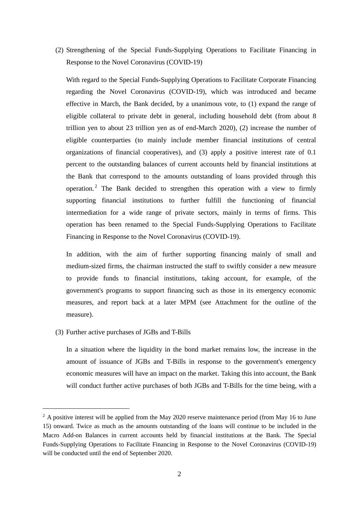(2) Strengthening of the Special Funds-Supplying Operations to Facilitate Financing in Response to the Novel Coronavirus (COVID-19)

With regard to the Special Funds-Supplying Operations to Facilitate Corporate Financing regarding the Novel Coronavirus (COVID-19), which was introduced and became effective in March, the Bank decided, by a unanimous vote, to (1) expand the range of eligible collateral to private debt in general, including household debt (from about 8 trillion yen to about 23 trillion yen as of end-March 2020), (2) increase the number of eligible counterparties (to mainly include member financial institutions of central organizations of financial cooperatives), and (3) apply a positive interest rate of 0.1 percent to the outstanding balances of current accounts held by financial institutions at the Bank that correspond to the amounts outstanding of loans provided through this operation. <sup>2</sup> The Bank decided to strengthen this operation with a view to firmly supporting financial institutions to further fulfill the functioning of financial intermediation for a wide range of private sectors, mainly in terms of firms. This operation has been renamed to the Special Funds-Supplying Operations to Facilitate Financing in Response to the Novel Coronavirus (COVID-19).

In addition, with the aim of further supporting financing mainly of small and medium-sized firms, the chairman instructed the staff to swiftly consider a new measure to provide funds to financial institutions, taking account, for example, of the government's programs to support financing such as those in its emergency economic measures, and report back at a later MPM (see Attachment for the outline of the measure).

(3) Further active purchases of JGBs and T-Bills

In a situation where the liquidity in the bond market remains low, the increase in the amount of issuance of JGBs and T-Bills in response to the government's emergency economic measures will have an impact on the market. Taking this into account, the Bank will conduct further active purchases of both JGBs and T-Bills for the time being, with a

<sup>&</sup>lt;sup>2</sup> A positive interest will be applied from the May 2020 reserve maintenance period (from May 16 to June 15) onward. Twice as much as the amounts outstanding of the loans will continue to be included in the Macro Add-on Balances in current accounts held by financial institutions at the Bank. The Special Funds-Supplying Operations to Facilitate Financing in Response to the Novel Coronavirus (COVID-19) will be conducted until the end of September 2020.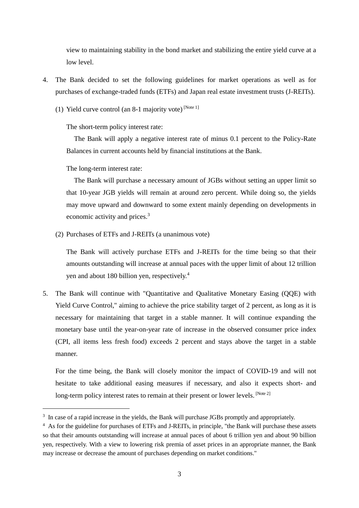view to maintaining stability in the bond market and stabilizing the entire yield curve at a low level.

- 4. The Bank decided to set the following guidelines for market operations as well as for purchases of exchange-traded funds (ETFs) and Japan real estate investment trusts (J-REITs).
	- (1) Yield curve control (an 8-1 majority vote)  $[Note 1]$

The short-term policy interest rate:

The Bank will apply a negative interest rate of minus 0.1 percent to the Policy-Rate Balances in current accounts held by financial institutions at the Bank.

The long-term interest rate:

The Bank will purchase a necessary amount of JGBs without setting an upper limit so that 10-year JGB yields will remain at around zero percent. While doing so, the yields may move upward and downward to some extent mainly depending on developments in economic activity and prices.<sup>3</sup>

(2) Purchases of ETFs and J-REITs (a unanimous vote)

The Bank will actively purchase ETFs and J-REITs for the time being so that their amounts outstanding will increase at annual paces with the upper limit of about 12 trillion yen and about 180 billion yen, respectively.<sup>4</sup>

5. The Bank will continue with "Quantitative and Qualitative Monetary Easing (QQE) with Yield Curve Control," aiming to achieve the price stability target of 2 percent, as long as it is necessary for maintaining that target in a stable manner. It will continue expanding the monetary base until the year-on-year rate of increase in the observed consumer price index (CPI, all items less fresh food) exceeds 2 percent and stays above the target in a stable manner.

For the time being, the Bank will closely monitor the impact of COVID-19 and will not hesitate to take additional easing measures if necessary, and also it expects short- and long-term policy interest rates to remain at their present or lower levels. [Note 2]

<sup>&</sup>lt;sup>3</sup> In case of a rapid increase in the yields, the Bank will purchase JGBs promptly and appropriately.

<sup>&</sup>lt;sup>4</sup> As for the guideline for purchases of ETFs and J-REITs, in principle, "the Bank will purchase these assets so that their amounts outstanding will increase at annual paces of about 6 trillion yen and about 90 billion yen, respectively. With a view to lowering risk premia of asset prices in an appropriate manner, the Bank may increase or decrease the amount of purchases depending on market conditions."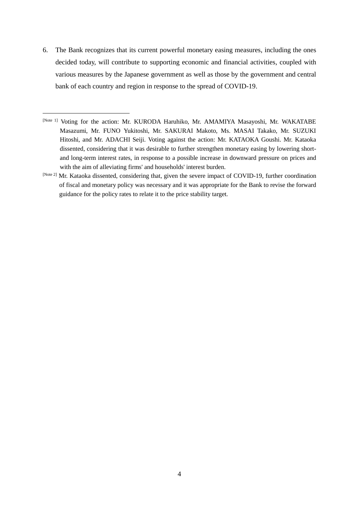6. The Bank recognizes that its current powerful monetary easing measures, including the ones decided today, will contribute to supporting economic and financial activities, coupled with various measures by the Japanese government as well as those by the government and central bank of each country and region in response to the spread of COVID-19.

l

[Note 2] Mr. Kataoka dissented, considering that, given the severe impact of COVID-19, further coordination of fiscal and monetary policy was necessary and it was appropriate for the Bank to revise the forward guidance for the policy rates to relate it to the price stability target.

<sup>[</sup>Note 1] Voting for the action: Mr. KURODA Haruhiko, Mr. AMAMIYA Masayoshi, Mr. WAKATABE Masazumi, Mr. FUNO Yukitoshi, Mr. SAKURAI Makoto, Ms. MASAI Takako, Mr. SUZUKI Hitoshi, and Mr. ADACHI Seiji. Voting against the action: Mr. KATAOKA Goushi. Mr. Kataoka dissented, considering that it was desirable to further strengthen monetary easing by lowering shortand long-term interest rates, in response to a possible increase in downward pressure on prices and with the aim of alleviating firms' and households' interest burden.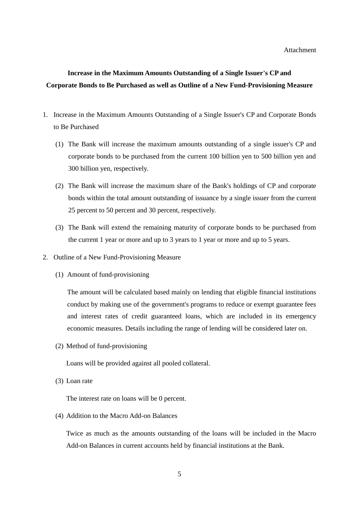## **Increase in the Maximum Amounts Outstanding of a Single Issuer's CP and Corporate Bonds to Be Purchased as well as Outline of a New Fund-Provisioning Measure**

- 1. Increase in the Maximum Amounts Outstanding of a Single Issuer's CP and Corporate Bonds to Be Purchased
	- (1) The Bank will increase the maximum amounts outstanding of a single issuer's CP and corporate bonds to be purchased from the current 100 billion yen to 500 billion yen and 300 billion yen, respectively.
	- (2) The Bank will increase the maximum share of the Bank's holdings of CP and corporate bonds within the total amount outstanding of issuance by a single issuer from the current 25 percent to 50 percent and 30 percent, respectively.
	- (3) The Bank will extend the remaining maturity of corporate bonds to be purchased from the current 1 year or more and up to 3 years to 1 year or more and up to 5 years.
- 2. Outline of a New Fund-Provisioning Measure
	- (1) Amount of fund-provisioning

The amount will be calculated based mainly on lending that eligible financial institutions conduct by making use of the government's programs to reduce or exempt guarantee fees and interest rates of credit guaranteed loans, which are included in its emergency economic measures. Details including the range of lending will be considered later on.

(2) Method of fund-provisioning

Loans will be provided against all pooled collateral.

(3) Loan rate

The interest rate on loans will be 0 percent.

(4) Addition to the Macro Add-on Balances

Twice as much as the amounts outstanding of the loans will be included in the Macro Add-on Balances in current accounts held by financial institutions at the Bank.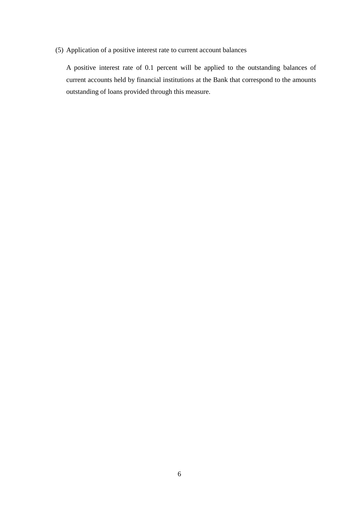(5) Application of a positive interest rate to current account balances

A positive interest rate of 0.1 percent will be applied to the outstanding balances of current accounts held by financial institutions at the Bank that correspond to the amounts outstanding of loans provided through this measure.